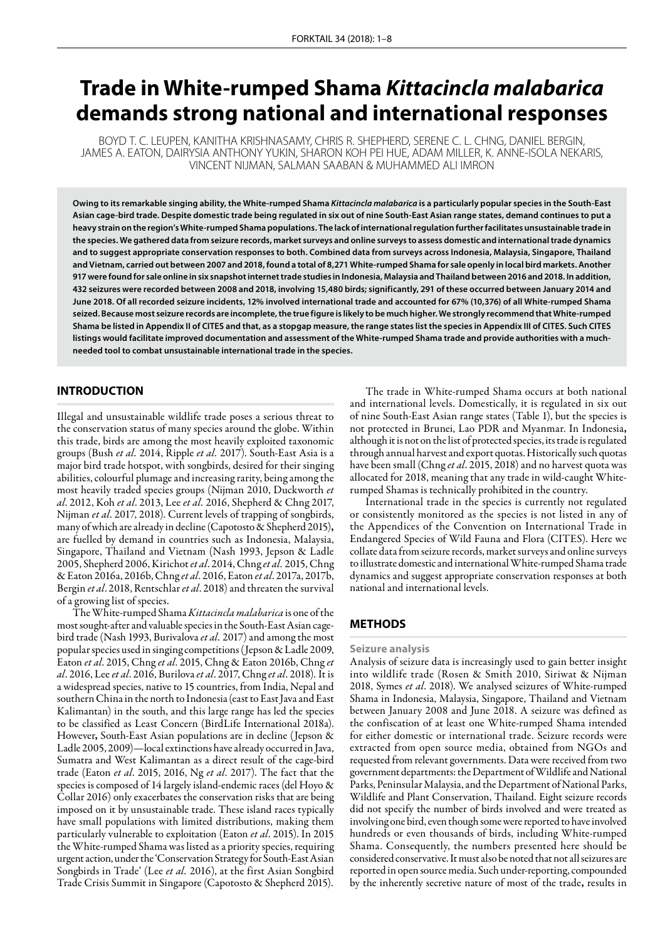# **Trade in White-rumped Shama** *Kittacincla malabarica* **demands strong national and international responses**

BOYD T. C. LEUPEN, KANITHA KRISHNASAMY, CHRIS R. SHEPHERD, SERENE C. L. CHNG, DANIEL BERGIN, JAMES A. EATON, DAIRYSIA ANTHONY YUKIN, SHARON KOH PEI HUE, ADAM MILLER, K. ANNE-ISOLA NEKARIS, VINCENT NIJMAN, SALMAN SAABAN & MUHAMMED ALI IMRON

**Owing to its remarkable singing ability, the White-rumped Shama** *Kittacincla malabarica* **is a particularly popular species in the South-East Asian cage-bird trade. Despite domestic trade being regulated in six out of nine South-East Asian range states, demand continues to put a heavy strain on the region's White-rumped Shama populations. The lack of international regulation further facilitates unsustainable trade in the species. We gathered data from seizure records, market surveys and online surveys to assess domestic and international trade dynamics and to suggest appropriate conservation responses to both. Combined data from surveys across Indonesia, Malaysia, Singapore, Thailand and Vietnam, carried out between 2007 and 2018, found a total of 8,271 White-rumped Shama for sale openly in local bird markets. Another 917 were found for sale online in six snapshot internet trade studies in Indonesia, Malaysia and Thailand between 2016 and 2018. In addition, 432 seizures were recorded between 2008 and 2018, involving 15,480 birds; significantly, 291 of these occurred between January 2014 and June 2018. Of all recorded seizure incidents, 12% involved international trade and accounted for 67% (10,376) of all White-rumped Shama seized. Because most seizure records are incomplete, the true figure is likely to be much higher. We strongly recommend that White-rumped Shama be listed in Appendix II of CITES and that, as a stopgap measure, the range states list the species in Appendix III of CITES. Such CITES listings would facilitate improved documentation and assessment of the White-rumped Shama trade and provide authorities with a muchneeded tool to combat unsustainable international trade in the species.** 

# **INTRODUCTION**

Illegal and unsustainable wildlife trade poses a serious threat to the conservation status of many species around the globe. Within this trade, birds are among the most heavily exploited taxonomic groups (Bush *et al.* 2014, Ripple *et al.* 2017). South-East Asia is a major bird trade hotspot, with songbirds, desired for their singing abilities, colourful plumage and increasing rarity, being among the most heavily traded species groups (Nijman 2010, Duckworth *et al*. 2012, Koh *et al*. 2013, Lee *et al.* 2016, Shepherd & Chng 2017, Nijman *et al*. 2017, 2018). Current levels of trapping of songbirds, many of which are already in decline (Capotosto & Shepherd 2015), are fuelled by demand in countries such as Indonesia, Malaysia, Singapore, Thailand and Vietnam (Nash 1993, Jepson & Ladle 2005, Shepherd 2006, Kirichot *et al*. 2014, Chng *et al.* 2015, Chng & Eaton 2016a, 2016b, Chng *et al*. 2016, Eaton *et al*. 2017a, 2017b, Bergin *et al*. 2018, Rentschlar *et al*. 2018) and threaten the survival of a growing list of species.

The White-rumped Shama *Kittacincla malabarica* is one of the most sought-after and valuable species in the South-East Asian cagebird trade (Nash 1993, Burivalova *et al.* 2017) and among the most popular species used in singing competitions (Jepson & Ladle 2009, Eaton *et al*. 2015, Chng *et al*. 2015, Chng & Eaton 2016b, Chng *et al*. 2016, Lee *et al*. 2016, Burilova *et al*. 2017, Chng *et al*. 2018)*.* It is a widespread species, native to 15 countries, from India, Nepal and southern China in the north to Indonesia (east to East Java and East Kalimantan) in the south, and this large range has led the species to be classified as Least Concern (BirdLife International 2018a). However, South-East Asian populations are in decline (Jepson & Ladle 2005, 2009)—local extinctions have already occurred in Java, Sumatra and West Kalimantan as a direct result of the cage-bird trade (Eaton *et al*. 2015, 2016, Ng *et al*. 2017). The fact that the species is composed of 14 largely island-endemic races (del Hoyo & Collar 2016) only exacerbates the conservation risks that are being imposed on it by unsustainable trade. These island races typically have small populations with limited distributions, making them particularly vulnerable to exploitation (Eaton *et al*. 2015). In 2015 the White-rumped Shama was listed as a priority species, requiring urgent action, under the 'Conservation Strategy for South-East Asian Songbirds in Trade' (Lee *et al.* 2016), at the first Asian Songbird Trade Crisis Summit in Singapore (Capotosto & Shepherd 2015).

The trade in White-rumped Shama occurs at both national and international levels. Domestically, it is regulated in six out of nine South-East Asian range states (Table 1), but the species is not protected in Brunei, Lao PDR and Myanmar. In Indonesia, although it is not on the list of protected species, its trade is regulated through annual harvest and export quotas. Historically such quotas have been small (Chng *et al*. 2015, 2018) and no harvest quota was allocated for 2018, meaning that any trade in wild-caught Whiterumped Shamas is technically prohibited in the country.

International trade in the species is currently not regulated or consistently monitored as the species is not listed in any of the Appendices of the Convention on International Trade in Endangered Species of Wild Fauna and Flora (CITES). Here we collate data from seizure records, market surveys and online surveys to illustrate domestic and international White-rumped Shama trade dynamics and suggest appropriate conservation responses at both national and international levels.

# **METHODS**

## **Seizure analysis**

Analysis of seizure data is increasingly used to gain better insight into wildlife trade (Rosen & Smith 2010, Siriwat & Nijman 2018, Symes *et al*. 2018). We analysed seizures of White-rumped Shama in Indonesia, Malaysia, Singapore, Thailand and Vietnam between January 2008 and June 2018. A seizure was defined as the confiscation of at least one White-rumped Shama intended for either domestic or international trade. Seizure records were extracted from open source media, obtained from NGOs and requested from relevant governments. Data were received from two government departments: the Department of Wildlife and National Parks, Peninsular Malaysia, and the Department of National Parks, Wildlife and Plant Conservation, Thailand. Eight seizure records did not specify the number of birds involved and were treated as involving one bird, even though some were reported to have involved hundreds or even thousands of birds, including White-rumped Shama. Consequently, the numbers presented here should be considered conservative. It must also be noted that not all seizures are reported in open source media. Such under-reporting, compounded by the inherently secretive nature of most of the trade, results in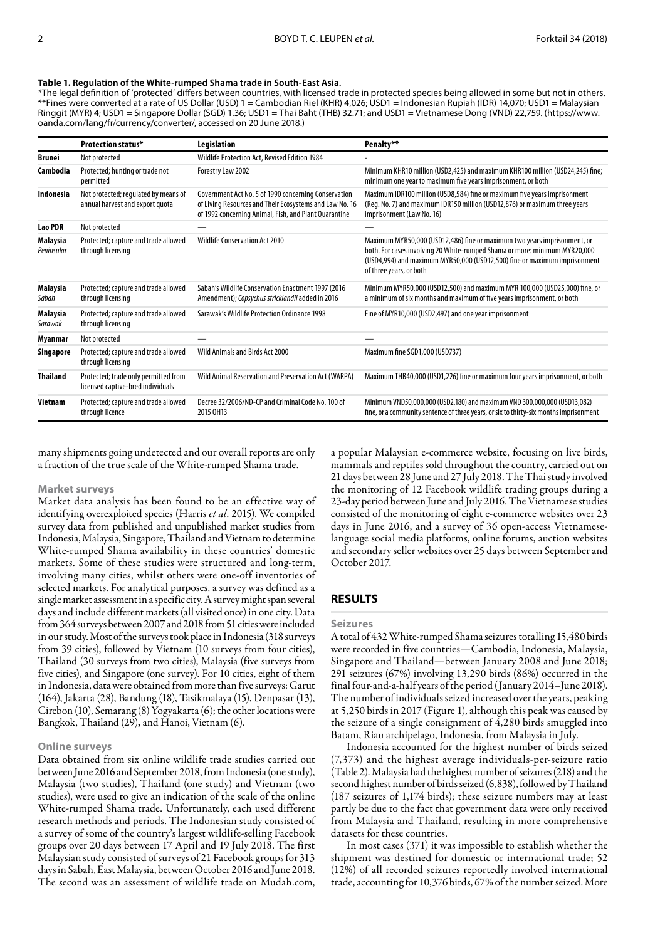## **Table 1. Regulation of the White-rumped Shama trade in South-East Asia.**

\*The legal definition of 'protected' differs between countries, with licensed trade in protected species being allowed in some but not in others. \*\*Fines were converted at a rate of US Dollar (USD) 1 = Cambodian Riel (KHR) 4,026; USD1 = Indonesian Rupiah (IDR) 14,070; USD1 = Malaysian Ringgit (MYR) 4; USD1 = Singapore Dollar (SGD) 1.36; USD1 = Thai Baht (THB) 32.71; and USD1 = Vietnamese Dong (VND) 22,759. (htt[ps://www.](https://www.oanda.com/lang/fr/currency/converter/) [oanda.com/lang/fr/currency/converter/, acc](https://www.oanda.com/lang/fr/currency/converter/)essed on 20 June 2018.)

|                               | <b>Protection status*</b>                                                 | Legislation                                                                                                                                                              | Penalty**                                                                                                                                                                                                                                                      |
|-------------------------------|---------------------------------------------------------------------------|--------------------------------------------------------------------------------------------------------------------------------------------------------------------------|----------------------------------------------------------------------------------------------------------------------------------------------------------------------------------------------------------------------------------------------------------------|
| Brunei                        | Not protected                                                             | Wildlife Protection Act, Revised Edition 1984                                                                                                                            |                                                                                                                                                                                                                                                                |
| Cambodia                      | Protected; hunting or trade not<br>permitted                              | Forestry Law 2002                                                                                                                                                        | Minimum KHR10 million (USD2,425) and maximum KHR100 million (USD24,245) fine;<br>minimum one year to maximum five years imprisonment, or both                                                                                                                  |
| Indonesia                     | Not protected; regulated by means of<br>annual harvest and export quota   | Government Act No. 5 of 1990 concerning Conservation<br>of Living Resources and Their Ecosystems and Law No. 16<br>of 1992 concerning Animal, Fish, and Plant Quarantine | Maximum IDR100 million (USD8,584) fine or maximum five years imprisonment<br>(Reg. No. 7) and maximum IDR150 million (USD12,876) or maximum three years<br>imprisonment (Law No. 16)                                                                           |
| <b>Lao PDR</b>                | Not protected                                                             |                                                                                                                                                                          |                                                                                                                                                                                                                                                                |
| <b>Malaysia</b><br>Peninsular | Protected; capture and trade allowed<br>through licensing                 | <b>Wildlife Conservation Act 2010</b>                                                                                                                                    | Maximum MYR50,000 (USD12,486) fine or maximum two years imprisonment, or<br>both. For cases involving 20 White-rumped Shama or more: minimum MYR20,000<br>(USD4,994) and maximum MYR50,000 (USD12,500) fine or maximum imprisonment<br>of three years, or both |
| Malaysia<br>Sabah             | Protected; capture and trade allowed<br>through licensing                 | Sabah's Wildlife Conservation Enactment 1997 (2016)<br>Amendment); Copsychus stricklandii added in 2016                                                                  | Minimum MYR50,000 (USD12,500) and maximum MYR 100,000 (USD25,000) fine, or<br>a minimum of six months and maximum of five years imprisonment, or both                                                                                                          |
| Malaysia<br>Sarawak           | Protected; capture and trade allowed<br>through licensing                 | Sarawak's Wildlife Protection Ordinance 1998                                                                                                                             | Fine of MYR10,000 (USD2,497) and one year imprisonment                                                                                                                                                                                                         |
| Myanmar                       | Not protected                                                             |                                                                                                                                                                          |                                                                                                                                                                                                                                                                |
| Singapore                     | Protected; capture and trade allowed<br>through licensing                 | Wild Animals and Birds Act 2000                                                                                                                                          | Maximum fine SGD1,000 (USD737)                                                                                                                                                                                                                                 |
| <b>Thailand</b>               | Protected; trade only permitted from<br>licensed captive-bred individuals | Wild Animal Reservation and Preservation Act (WARPA)                                                                                                                     | Maximum THB40,000 (USD1,226) fine or maximum four years imprisonment, or both                                                                                                                                                                                  |
| Vietnam                       | Protected; capture and trade allowed<br>through licence                   | Decree 32/2006/ND-CP and Criminal Code No. 100 of<br>2015 OH13                                                                                                           | Minimum VND50,000,000 (USD2,180) and maximum VND 300,000,000 (USD13,082)<br>fine, or a community sentence of three years, or six to thirty-six months imprisonment                                                                                             |

many shipments going undetected and our overall reports are only a fraction of the true scale of the White-rumped Shama trade.

#### **Market surveys**

Market data analysis has been found to be an effective way of identifying overexploited species (Harris *et al*. 2015). We compiled survey data from published and unpublished market studies from Indonesia, Malaysia, Singapore, Thailand and Vietnam to determine White-rumped Shama availability in these countries' domestic markets. Some of these studies were structured and long-term, involving many cities, whilst others were one-off inventories of selected markets. For analytical purposes, a survey was defined as a single market assessment in a specific city. A survey might span several days and include different markets (all visited once) in one city. Data from 364 surveys between 2007 and 2018 from 51 cities were included in our study. Most of the surveys took place in Indonesia (318 surveys from 39 cities), followed by Vietnam (10 surveys from four cities), Thailand (30 surveys from two cities), Malaysia (five surveys from five cities), and Singapore (one survey). For 10 cities, eight of them in Indonesia, data were obtained from more than five surveys: Garut (164), Jakarta (28), Bandung (18), Tasikmalaya (15), Denpasar (13), Cirebon (10), Semarang (8) Yogyakarta (6); the other locations were Bangkok, Thailand (29), and Hanoi, Vietnam (6).

## **Online surveys**

Data obtained from six online wildlife trade studies carried out between June 2016 and September 2018, from Indonesia (one study), Malaysia (two studies), Thailand (one study) and Vietnam (two studies), were used to give an indication of the scale of the online White-rumped Shama trade. Unfortunately, each used different research methods and periods. The Indonesian study consisted of a survey of some of the country's largest wildlife-selling Facebook groups over 20 days between 17 April and 19 July 2018. The first Malaysian study consisted of surveys of 21 Facebook groups for 313 days in Sabah, East Malaysia, between October 2016 and June 2018. The second was an assessment of wildlife trade on Mudah.com,

a popular Malaysian e-commerce website, focusing on live birds, mammals and reptiles sold throughout the country, carried out on 21 days between 28 June and 27 July 2018. The Thai study involved the monitoring of 12 Facebook wildlife trading groups during a 23-day period between June and July 2016. The Vietnamese studies consisted of the monitoring of eight e-commerce websites over 23 days in June 2016, and a survey of 36 open-access Vietnameselanguage social media platforms, online forums, auction websites and secondary seller websites over 25 days between September and October 2017.

# **RESULTS**

## **Seizures**

A total of 432 White-rumped Shama seizures totalling 15,480 birds were recorded in five countries—Cambodia, Indonesia, Malaysia, Singapore and Thailand—between January 2008 and June 2018; 291 seizures (67%) involving 13,290 birds (86%) occurred in the final four-and-a-half years of the period (January 2014–June 2018). The number of individuals seized increased over the years, peaking at 5,250 birds in 2017 (Figure 1), although this peak was caused by the seizure of a single consignment of 4,280 birds smuggled into Batam, Riau archipelago, Indonesia, from Malaysia in July.

Indonesia accounted for the highest number of birds seized (7,373) and the highest average individuals-per-seizure ratio (Table 2). Malaysia had the highest number of seizures (218) and the second highest number of birds seized (6,838), followed by Thailand (187 seizures of 1,174 birds); these seizure numbers may at least partly be due to the fact that government data were only received from Malaysia and Thailand, resulting in more comprehensive datasets for these countries.

In most cases (371) it was impossible to establish whether the shipment was destined for domestic or international trade; 52 (12%) of all recorded seizures reportedly involved international trade, accounting for 10,376 birds, 67% of the number seized. More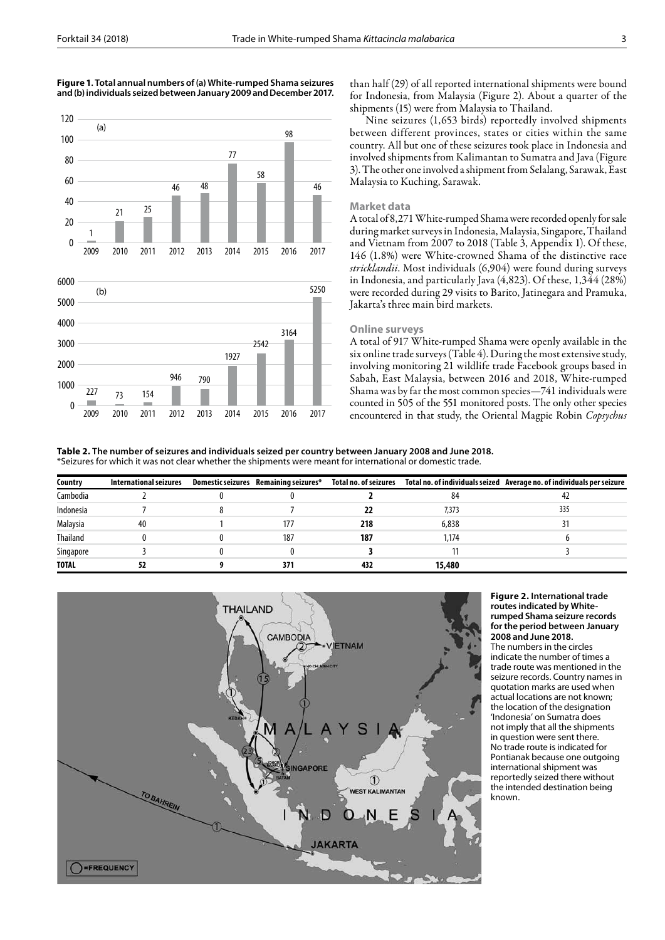#### **Figure 1. Total annual numbers of (a) White-rumped Shama seizures and (b) individuals seized between January 2009 and December 2017.**



than half (29) of all reported international shipments were bound for Indonesia, from Malaysia (Figure 2). About a quarter of the shipments (15) were from Malaysia to Thailand.

Nine seizures (1,653 birds) reportedly involved shipments between different provinces, states or cities within the same country. All but one of these seizures took place in Indonesia and involved shipments from Kalimantan to Sumatra and Java (Figure 3). The other one involved a shipment from Selalang, Sarawak, East Malaysia to Kuching, Sarawak.

## **Market data**

A total of 8,271 White-rumped Shama were recorded openly for sale during market surveys in Indonesia, Malaysia, Singapore, Thailand and Vietnam from 2007 to 2018 (Table 3, Appendix 1). Of these, 146 (1.8%) were White-crowned Shama of the distinctive race *stricklandii*. Most individuals (6,904) were found during surveys in Indonesia, and particularly Java (4,823). Of these, 1,344 (28%) were recorded during 29 visits to Barito, Jatinegara and Pramuka, Jakarta's three main bird markets.

# **Online surveys**

A total of 917 White-rumped Shama were openly available in the six online trade surveys (Table 4). During the most extensive study, involving monitoring 21 wildlife trade Facebook groups based in Sabah, East Malaysia, between 2016 and 2018, White-rumped Shama was by far the most common species—741 individuals were counted in 505 of the 551 monitored posts. The only other species encountered in that study, the Oriental Magpie Robin *Copsychus* 

**Table 2. The number of seizures and individuals seized per country between January 2008 and June 2018.** \*Seizures for which it was not clear whether the shipments were meant for international or domestic trade.

| Country         | International seizures | Domestic seizures Remaining seizures* | Total no. of seizures |        | Total no. of individuals seized Average no. of individuals per seizure |
|-----------------|------------------------|---------------------------------------|-----------------------|--------|------------------------------------------------------------------------|
| Cambodia        |                        |                                       |                       | 84     | 42                                                                     |
| Indonesia       |                        |                                       |                       | 7,373  | 335                                                                    |
| Malaysia        | 40                     | 177                                   | 218                   | 6,838  |                                                                        |
| <b>Thailand</b> |                        | 187                                   | 187                   | 1,174  |                                                                        |
| Singapore       |                        |                                       |                       |        |                                                                        |
| <b>TOTAL</b>    |                        | 371                                   | 432                   | 15,480 |                                                                        |



**Figure 2. International trade routes indicated by Whiterumped Shama seizure records for the period between January 2008 and June 2018.**  The numbers in the circles indicate the number of times a trade route was mentioned in the seizure records. Country names in quotation marks are used when actual locations are not known; the location of the designation 'Indonesia' on Sumatra does not imply that all the shipments in question were sent there. No trade route is indicated for Pontianak because one outgoing international shipment was reportedly seized there without the intended destination being known.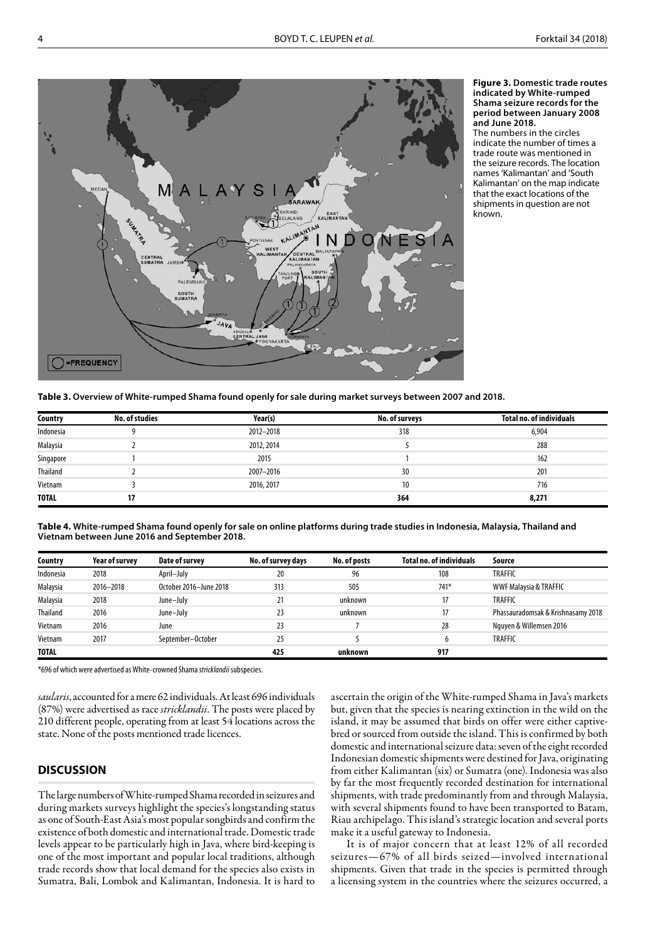

**Figure 3. Domestic trade routes indicated by White-rumped Shama seizure records for the period between January 2008 and June 2018.** 

The numbers in the circles indicate the number of times a trade route was mentioned in the seizure records. The location names 'Kalimantan' and 'South Kalimantan' on the map indicate that the exact locations of the shipments in question are not known.

**Table 3. Overview of White-rumped Shama found openly for sale during market surveys between 2007 and 2018.**

| Country      | <b>No. of studies</b> | Year(s)    | No. of surveys | <b>Total no. of individuals</b> |
|--------------|-----------------------|------------|----------------|---------------------------------|
| Indonesia    | Q                     | 2012-2018  | 318            | 6,904                           |
| Malaysia     |                       | 2012, 2014 |                | 288                             |
| Singapore    |                       | 2015       |                | 162                             |
| Thailand     |                       | 2007-2016  | 30             | 201                             |
| Vietnam      |                       | 2016, 2017 | 10             | 716                             |
| <b>TOTAL</b> | 17                    |            | 364            | 8,271                           |

**Table 4. White-rumped Shama found openly for sale on online platforms during trade studies in Indonesia, Malaysia, Thailand and Vietnam between June 2016 and September 2018.**

| Country      | <b>Year of survey</b> | Date of survey         | No. of survey days | No. of posts | <b>Total no. of individuals</b> | Source                             |
|--------------|-----------------------|------------------------|--------------------|--------------|---------------------------------|------------------------------------|
| Indonesia    | 2018                  | April-July             | 20                 | 96           | 108                             | <b>TRAFFIC</b>                     |
| Malaysia     | 2016-2018             | October 2016-June 2018 | 313                | 505          | 741*                            | <b>WWF Malaysia &amp; TRAFFIC</b>  |
| Malaysia     | 2018                  | June-July              | 21                 | unknown      | 17                              | <b>TRAFFIC</b>                     |
| Thailand     | 2016                  | June-July              | 23                 | unknown      | 17                              | Phassauradomsak & Krishnasamy 2018 |
| Vietnam      | 2016                  | June                   | 23                 |              | 28                              | Nguyen & Willemsen 2016            |
| Vietnam      | 2017                  | September-October      | 25                 |              | 6                               | <b>TRAFFIC</b>                     |
| <b>TOTAL</b> |                       |                        | 425                | unknown      | 917                             |                                    |

\*696 of which were advertised as White-crowned Shama *stricklandii* subspecies.

*saularis*,accounted for a mere 62 individuals. At least 696 individuals (87%) were advertised as race *stricklandii*. The posts were placed by 210 different people, operating from at least 54 locations across the state. None of the posts mentioned trade licences.

# **DISCUSSION**

The large numbers of White-rumped Shama recorded in seizures and during markets surveys highlight the species's longstanding status as one of South-East Asia's most popular songbirds and confirm the existence of both domestic and international trade. Domestic trade levels appear to be particularly high in Java, where bird-keeping is one of the most important and popular local traditions, although trade records show that local demand for the species also exists in Sumatra, Bali, Lombok and Kalimantan, Indonesia. It is hard to

ascertain the origin of the White-rumped Shama in Java's markets but, given that the species is nearing extinction in the wild on the island, it may be assumed that birds on offer were either captivebred or sourced from outside the island. This is confirmed by both domestic and international seizure data: seven of the eight recorded Indonesian domestic shipments were destined for Java, originating from either Kalimantan (six) or Sumatra (one). Indonesia was also by far the most frequently recorded destination for international shipments, with trade predominantly from and through Malaysia, with several shipments found to have been transported to Batam, Riau archipelago. This island's strategic location and several ports make it a useful gateway to Indonesia.

It is of major concern that at least 12% of all recorded seizures—67% of all birds seized—involved international shipments. Given that trade in the species is permitted through a licensing system in the countries where the seizures occurred, a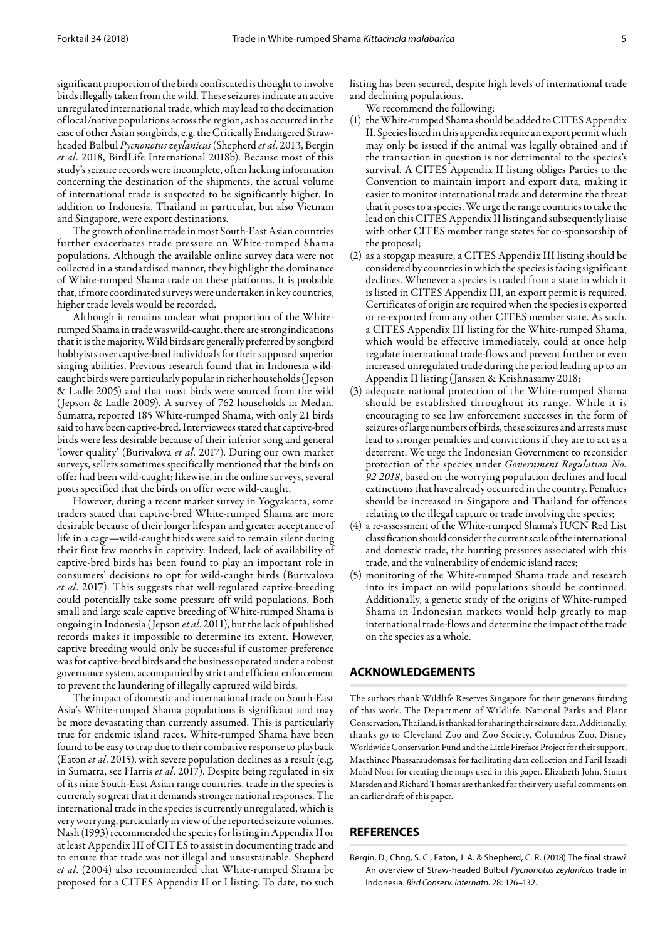significant proportion of the birds confiscated is thought to involve birds illegally taken from the wild. These seizures indicate an active unregulated international trade, which may lead to the decimation of local/native populations across the region, as has occurred in the case of other Asian songbirds, e.g. the Critically Endangered Strawheaded Bulbul *Pycnonotus zeylanicus* (Shepherd *et al*. 2013, Bergin *et al*. 2018, BirdLife International 2018b). Because most of this study's seizure records were incomplete, often lacking information concerning the destination of the shipments, the actual volume of international trade is suspected to be significantly higher. In addition to Indonesia, Thailand in particular, but also Vietnam and Singapore, were export destinations.

The growth of online trade in most South-East Asian countries further exacerbates trade pressure on White-rumped Shama populations. Although the available online survey data were not collected in a standardised manner, they highlight the dominance of White-rumped Shama trade on these platforms. It is probable that, if more coordinated surveys were undertaken in key countries, higher trade levels would be recorded.

Although it remains unclear what proportion of the Whiterumped Shama in trade was wild-caught, there are strong indications that it is the majority. Wild birds are generally preferred by songbird hobbyists over captive-bred individuals for their supposed superior singing abilities. Previous research found that in Indonesia wildcaught birds were particularly popular in richer households (Jepson & Ladle 2005) and that most birds were sourced from the wild (Jepson & Ladle 2009). A survey of 762 households in Medan, Sumatra, reported 185 White-rumped Shama, with only 21 birds said to have been captive-bred. Interviewees stated that captive-bred birds were less desirable because of their inferior song and general 'lower quality' (Burivalova *et al*. 2017). During our own market surveys, sellers sometimes specifically mentioned that the birds on offer had been wild-caught; likewise, in the online surveys, several posts specified that the birds on offer were wild-caught.

However, during a recent market survey in Yogyakarta, some traders stated that captive-bred White-rumped Shama are more desirable because of their longer lifespan and greater acceptance of life in a cage—wild-caught birds were said to remain silent during their first few months in captivity. Indeed, lack of availability of captive-bred birds has been found to play an important role in consumers' decisions to opt for wild-caught birds (Burivalova *et al*. 2017). This suggests that well-regulated captive-breeding could potentially take some pressure off wild populations. Both small and large scale captive breeding of White-rumped Shama is ongoing in Indonesia (Jepson *et al*. 2011), but the lack of published records makes it impossible to determine its extent. However, captive breeding would only be successful if customer preference was for captive-bred birds and the business operated under a robust governance system, accompanied by strict and efficient enforcement to prevent the laundering of illegally captured wild birds.

The impact of domestic and international trade on South-East Asia's White-rumped Shama populations is significant and may be more devastating than currently assumed. This is particularly true for endemic island races. White-rumped Shama have been found to be easy to trap due to their combative response to playback (Eaton *et al*. 2015), with severe population declines as a result (e.g. in Sumatra, see Harris *et al*. 2017). Despite being regulated in six of its nine South-East Asian range countries, trade in the species is currently so great that it demands stronger national responses. The international trade in the species is currently unregulated, which is very worrying, particularly in view of the reported seizure volumes. Nash (1993) recommended the species for listing in Appendix II or at least Appendix III of CITES to assist in documenting trade and to ensure that trade was not illegal and unsustainable. Shepherd *et al*. (2004) also recommended that White-rumped Shama be proposed for a CITES Appendix II or I listing. To date, no such

listing has been secured, despite high levels of international trade and declining populations.

We recommend the following:

- (1) the White-rumped Shama should be added to CITES Appendix II. Species listed in this appendix require an export permit which may only be issued if the animal was legally obtained and if the transaction in question is not detrimental to the species's survival. A CITES Appendix II listing obliges Parties to the Convention to maintain import and export data, making it easier to monitor international trade and determine the threat that it poses to a species. We urge the range countries to take the lead on this CITES Appendix II listing and subsequently liaise with other CITES member range states for co-sponsorship of the proposal;
- (2) as a stopgap measure, a CITES Appendix III listing should be considered by countries in which the species is facing significant declines. Whenever a species is traded from a state in which it is listed in CITES Appendix III, an export permit is required. Certificates of origin are required when the species is exported or re-exported from any other CITES member state. As such, a CITES Appendix III listing for the White-rumped Shama, which would be effective immediately, could at once help regulate international trade-flows and prevent further or even increased unregulated trade during the period leading up to an Appendix II listing (Janssen & Krishnasamy 2018;
- (3) adequate national protection of the White-rumped Shama should be established throughout its range. While it is encouraging to see law enforcement successes in the form of seizures of large numbers of birds, these seizures and arrests must lead to stronger penalties and convictions if they are to act as a deterrent. We urge the Indonesian Government to reconsider protection of the species under *Go*v*ernment Regulation No. 92 2018*, based on the worrying population declines and local extinctions that have already occurred in the country. Penalties should be increased in Singapore and Thailand for offences relating to the illegal capture or trade involving the species;
- (4) a re-assessment of the White-rumped Shama's IUCN Red List classification should consider the current scale of the international and domestic trade, the hunting pressures associated with this trade, and the vulnerability of endemic island races;
- (5) monitoring of the White-rumped Shama trade and research into its impact on wild populations should be continued. Additionally, a genetic study of the origins of White-rumped Shama in Indonesian markets would help greatly to map international trade-flows and determine the impact of the trade on the species as a whole.

# **ACKNOWLEDGEMENTS**

The authors thank Wildlife Reserves Singapore for their generous funding of this work. The Department of Wildlife, National Parks and Plant Conservation, Thailand, is thanked for sharing their seizure data. Additionally, thanks go to Cleveland Zoo and Zoo Society, Columbus Zoo, Disney Worldwide Conservation Fund and the Little Fireface Project for their support, Maethinee Phassaraudomsak for facilitating data collection and Faril Izzadi Mohd Noor for creating the maps used in this paper. Elizabeth John, Stuart Marsden and Richard Thomas are thanked for their very useful comments on an earlier draft of this paper.

## **REFERENCES**

Bergin, D., Chng, S. C., Eaton, J. A. & Shepherd, C. R. (2018) The final straw? An overview of Straw-headed Bulbul *Pycnonotus zeylanicus* trade in Indonesia. *Bird Conserv. Internatn.* 28: 126–132.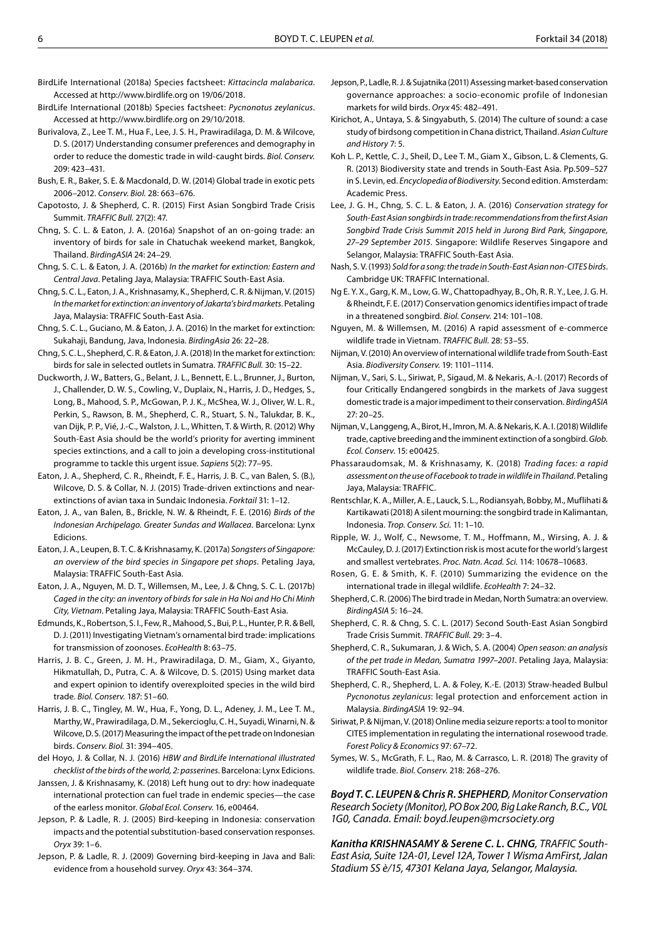- BirdLife International (2018a) Species factsheet: *Kittacincla malabarica*. Accessed at http[://www.birdlife.org on](http://www.birdlife.org) 19/06/2018.
- BirdLife International (2018b) Species factsheet: *Pycnonotus zeylanicus*. Accessed at http[://www.birdlife.org on](http://www.birdlife.org) 29/10/2018.
- Burivalova, Z., Lee T. M., Hua F., Lee, J. S. H., Prawiradilaga, D. M. & Wilcove, D. S. (2017) Understanding consumer preferences and demography in order to reduce the domestic trade in wild-caught birds*. Biol. Conserv.* 209: 423–431.
- Bush, E. R., Baker, S. E. & Macdonald, D. W. (2014) Global trade in exotic pets 2006–2012. *Conserv. Biol.* 28: 663–676.
- Capotosto, J. & Shepherd, C. R. (2015) First Asian Songbird Trade Crisis Summit. *TRAFFIC Bull.* 27(2): 47.
- Chng, S. C. L. & Eaton, J. A. (2016a) Snapshot of an on-going trade: an inventory of birds for sale in Chatuchak weekend market, Bangkok, Thailand. *BirdingASIA* 24: 24–29.
- Chng, S. C. L. & Eaton, J. A. (2016b) *In the market for extinction: Eastern and Central Java*. Petaling Jaya, Malaysia: TRAFFIC South-East Asia.
- Chng, S. C. L., Eaton, J. A., Krishnasamy, K., Shepherd, C. R. & Nijman, V. (2015) *In the market for extinction: an inventory of Jakarta's bird markets*. Petaling Jaya, Malaysia: TRAFFIC South-East Asia.
- Chng, S. C. L., Guciano, M. & Eaton, J. A. (2016) In the market for extinction: Sukahaji, Bandung, Java, Indonesia. *BirdingAsia* 26: 22–28.
- Chng, S. C. L., Shepherd, C. R. & Eaton, J. A. (2018) In the market for extinction: birds for sale in selected outlets in Sumatra. *TRAFFIC Bull.* 30: 15–22.
- Duckworth, J. W., Batters, G., Belant, J. L., Bennett, E. L., Brunner, J., Burton, J., Challender, D. W. S., Cowling, V., Duplaix, N., Harris, J. D., Hedges, S., Long, B., Mahood, S. P., McGowan, P. J. K., McShea, W. J., Oliver, W. L. R., Perkin, S., Rawson, B. M., Shepherd, C. R., Stuart, S. N., Talukdar, B. K., van Dijk, P. P., Vié, J.-C., Walston, J. L., Whitten, T. & Wirth, R. (2012) Why South-East Asia should be the world's priority for averting imminent species extinctions, and a call to join a developing cross-institutional programme to tackle this urgent issue. *Sapiens* 5(2): 77–95.
- Eaton, J. A., Shepherd, C. R., Rheindt, F. E., Harris, J. B. C., van Balen, S. (B.), Wilcove, D. S. & Collar, N. J. (2015) Trade-driven extinctions and nearextinctions of avian taxa in Sundaic Indonesia. *Forktail* 31: 1–12.
- Eaton, J. A., van Balen, B., Brickle, N. W. & Rheindt, F. E. (2016) *Birds of the Indonesian Archipelago. Greater Sundas and Wallacea*. Barcelona: Lynx Edicions.
- Eaton, J. A., Leupen, B. T. C. & Krishnasamy, K. (2017a) *Songsters of Singapore: an overview of the bird species in Singapore pet shops*. Petaling Jaya, Malaysia: TRAFFIC South-East Asia.
- Eaton, J. A., Nguyen, M. D. T., Willemsen, M., Lee, J. & Chng, S. C. L. (2017b) *Caged in the city: an inventory of birds for sale in Ha Noi and Ho Chi Minh City, Vietnam*. Petaling Jaya, Malaysia: TRAFFIC South-East Asia.
- Edmunds, K., Robertson, S. I., Few, R., Mahood, S., Bui, P. L., Hunter, P. R. & Bell, D. J. (2011) Investigating Vietnam's ornamental bird trade: implications for transmission of zoonoses. *EcoHealth* 8: 63–75.
- Harris, J. B. C., Green, J. M. H., Prawiradilaga, D. M., Giam, X., Giyanto, Hikmatullah, D., Putra, C. A. & Wilcove, D. S. (2015) Using market data and expert opinion to identify overexploited species in the wild bird trade. *Biol. Conserv.* 187: 51–60.
- Harris, J. B. C., Tingley, M. W., Hua, F., Yong, D. L., Adeney, J. M., Lee T. M., Marthy, W., Prawiradilaga, D. M., Sekercioglu, C. H., Suyadi, Winarni, N. & Wilcove, D. S. (2017) Measuring the impact of the pet trade on Indonesian birds. *Conserv. Biol.* 31: 394–405.
- del Hoyo, J. & Collar, N. J. (2016) *HBW and BirdLife International illustrated checklist of the birds of the world, 2: passerines*. Barcelona: Lynx Edicions.
- Janssen, J. & Krishnasamy, K. (2018) Left hung out to dry: how inadequate international protection can fuel trade in endemic species—the case of the earless monitor. *Global Ecol. Conserv.* 16, e00464.
- Jepson, P. & Ladle, R. J. (2005) Bird-keeping in Indonesia: conservation impacts and the potential substitution-based conservation responses. *Oryx* 39: 1–6.
- Jepson, P. & Ladle, R. J. (2009) Governing bird-keeping in Java and Bali: evidence from a household survey. *Oryx* 43: 364–374.
- Jepson, P., Ladle, R. J. & Sujatnika (2011) Assessing market-based conservation governance approaches: a socio-economic profile of Indonesian markets for wild birds. *Oryx* 45: 482–491.
- Kirichot, A., Untaya, S. & Singyabuth, S. (2014) The culture of sound: a case study of birdsong competition in Chana district, Thailand. *Asian Culture and History* 7: 5.
- Koh L. P., Kettle, C. J., Sheil, D., Lee T. M., Giam X., Gibson, L. & Clements, G. R. (2013) Biodiversity state and trends in South-East Asia. Pp.509–527 in S. Levin, ed. *Encyclopedia of Biodiversity*. Second edition. Amsterdam: Academic Press.
- Lee, J. G. H., Chng, S. C. L. & Eaton, J. A. (2016) *Conservation strategy for South-East Asian songbirds in trade: recommendations from the first Asian Songbird Trade Crisis Summit 2015 held in Jurong Bird Park, Singapore, 27–29 September 2015*. Singapore: Wildlife Reserves Singapore and Selangor, Malaysia: TRAFFIC South-East Asia.
- Nash, S. V. (1993) *Sold for a song: the trade in South-East Asian non-CITES birds*. Cambridge UK: TRAFFIC International.
- Ng E. Y. X., Garg, K. M., Low, G. W., Chattopadhyay, B., Oh, R. R. Y., Lee, J. G. H. & Rheindt, F. E. (2017) Conservation genomics identifies impact of trade in a threatened songbird. *Biol. Conserv.* 214: 101–108.
- Nguyen, M. & Willemsen, M. (2016) A rapid assessment of e-commerce wildlife trade in Vietnam. *TRAFFIC Bull.* 28: 53–55.
- Nijman, V. (2010) An overview of international wildlife trade from South-East Asia. *Biodiversity Conserv.* 19: 1101–1114.
- Nijman, V., Sari, S. L., Siriwat, P., Sigaud, M. & Nekaris, A.-I. (2017) Records of four Critically Endangered songbirds in the markets of Java suggest domestic trade is a major impediment to their conservation. *BirdingASIA* 27: 20–25.
- Nijman, V., Langgeng, A., Birot, H., Imron, M. A. & Nekaris, K. A. I. (2018) Wildlife trade, captive breeding and the imminent extinction of a songbird. *Glob. Ecol. Conserv*. 15: e00425.
- Phassaraudomsak, M. & Krishnasamy, K. (2018) *Trading faces: a rapid assessment on the use of Facebook to trade in wildlife in Thailand*. Petaling Jaya, Malaysia: TRAFFIC.
- Rentschlar, K. A., Miller, A. E., Lauck, S. L., Rodiansyah, Bobby, M., Muflihati & Kartikawati (2018) A silent mourning: the songbird trade in Kalimantan, Indonesia. *Trop. Conserv. Sci.* 11: 1–10.
- Ripple, W. J., Wolf, C., Newsome, T. M., Hoffmann, M., Wirsing, A. J. & McCauley, D. J. (2017) Extinction risk is most acute for the world's largest and smallest vertebrates. *Proc. Natn. Acad. Sci.* 114[: 1067](https://doi.org/10.1073/pnas.1702078114)8–10683.
- Rosen, G. E. & Smith, K. F. (2010) Summarizing the evidence on the international trade in illegal wildlife. *EcoHealth* 7: 24–32.
- Shepherd, C. R. (2006) The bird trade in Medan, North Sumatra: an overview. *BirdingASIA* 5: 16–24.
- Shepherd, C. R. & Chng, S. C. L. (2017) Second South-East Asian Songbird Trade Crisis Summit. *TRAFFIC Bull.* 29: 3–4.
- Shepherd, C. R., Sukumaran, J. & Wich, S. A. (2004) *Open season: an analysis of the pet trade in Medan, Sumatra 1997–2001*. Petaling Jaya, Malaysia: TRAFFIC South-East Asia.
- Shepherd, C. R., Shepherd, L. A. & Foley, K.-E. (2013) Straw-headed Bulbul *Pycnonotus zeylanicus*: legal protection and enforcement action in Malaysia. *BirdingASIA* 19: 92–94.
- Siriwat, P. & Nijman, V. (2018) Online media seizure reports: a tool to monitor CITES implementation in regulating the international rosewood trade. *Forest Policy & Economics* 97: 67–72.
- Symes, W. S., McGrath, F. L., Rao, M. & Carrasco, L. R. (2018) The gravity of wildlife trade. *Biol. Conserv.* 218: 268–276.

*Boyd T. C. LEUPEN & Chris R. SHEPHERD, Monitor Conservation Research Society (Monitor), PO Box 200, Big Lake Ranch, B.C., V0L 1G0, Canada. Email: boyd.leupen@mcrsociety.org*

*Kanitha KRISHNASAMY & Serene C. L. CHNG, TRAFFIC South-East Asia, Suite 12A-01, Level 12A, Tower 1 Wisma AmFirst, Jalan Stadium SS è/15, 47301 Kelana Jaya, Selangor, Malaysia.*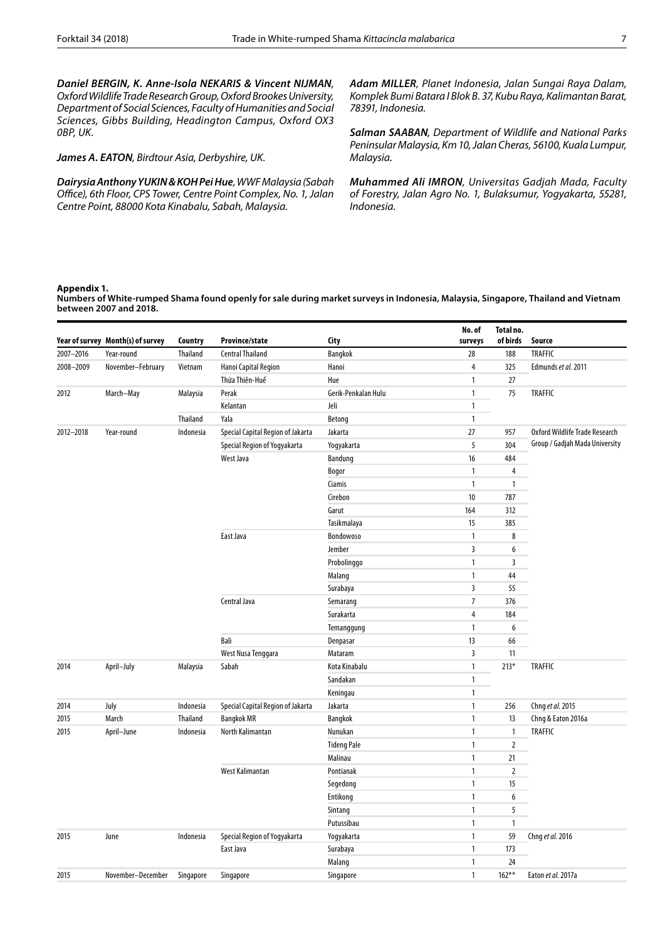*Daniel BERGIN, K. Anne-Isola NEKARIS & Vincent NIJMAN, Oxford Wildlife Trade Research Group, Oxford Brookes University, Department of Social Sciences, Faculty of Humanities and Social Sciences, Gibbs Building, Headington Campus, Oxford OX3 0BP, UK.*

# *James A. EATON, Birdtour Asia, Derbyshire, UK.*

*Dairysia Anthony YUKIN & KOH Pei Hue, WWF Malaysia (Sabah O*ffi*ce), 6th Floor, CPS Tower, Centre Point Complex, No. 1, Jalan Centre Point, 88000 Kota Kinabalu, Sabah, Malaysia.*

*Adam MILLER, Planet Indonesia, Jalan Sungai Raya Dalam, Komplek Bumi Batara I Blok B. 37, Kubu Raya, Kalimantan Barat, 78391, Indonesia.*

*Salman SAABAN, Department of Wildlife and National Parks Peninsular Malaysia, Km 10, Jalan Cheras, 56100, Kuala Lumpur, Malaysia.*

*Muhammed Ali IMRON, Universitas Gadjah Mada, Faculty of Forestry, Jalan Agro No. 1, Bulaksumur, Yogyakarta, 55281, Indonesia.*

## **Appendix 1.**

**Numbers of White-rumped Shama found openly for sale during market surveys in Indonesia, Malaysia, Singapore, Thailand and Vietnam between 2007 and 2018.**

|           |                                   |           |                                   |                     | No. of           | Total no.      |                                |
|-----------|-----------------------------------|-----------|-----------------------------------|---------------------|------------------|----------------|--------------------------------|
|           | Year of survey Month(s) of survey | Country   | Province/state                    | City                | surveys          | of birds       | Source                         |
| 2007-2016 | Year-round                        | Thailand  | <b>Central Thailand</b>           | Bangkok             | 28               | 188            | <b>TRAFFIC</b>                 |
| 2008-2009 | November-February                 | Vietnam   | Hanoi Capital Region              | Hanoi               | $\overline{4}$   | 325            | Edmunds et al. 2011            |
|           |                                   |           | Thừa Thiên-Huế                    | Hue                 | $\mathbf{1}$     | 27             |                                |
| 2012      | March-May                         | Malaysia  | Perak                             | Gerik-Penkalan Hulu | $\mathbf{1}$     | 75             | <b>TRAFFIC</b>                 |
|           |                                   |           | Kelantan                          | Jeli                | $\mathbf{1}$     |                |                                |
|           |                                   | Thailand  | Yala                              | Betong              | $\mathbf{1}$     |                |                                |
| 2012-2018 | Year-round                        | Indonesia | Special Capital Region of Jakarta | Jakarta             | 27               | 957            | Oxford Wildlife Trade Research |
|           |                                   |           | Special Region of Yogyakarta      | Yogyakarta          | 5                | 304            | Group / Gadjah Mada University |
|           |                                   |           | West Java                         | Bandung             | 16               | 484            |                                |
|           |                                   |           |                                   | Bogor               | $\mathbf{1}$     | $\overline{4}$ |                                |
|           |                                   |           |                                   | Ciamis              | $\mathbf{1}$     | $\overline{1}$ |                                |
|           |                                   |           |                                   | Cirebon             | 10               | 787            |                                |
|           |                                   |           |                                   | Garut               | 164              | 312            |                                |
|           |                                   |           |                                   | Tasikmalaya         | 15               | 385            |                                |
|           |                                   |           | East Java                         | Bondowoso           | $\mathbf{1}$     | 8              |                                |
|           |                                   |           |                                   | Jember              | $\overline{3}$   | 6              |                                |
|           |                                   |           |                                   | Probolinggo         | $\mathbf{1}$     | 3              |                                |
|           |                                   |           |                                   | Malang              | $\mathbf{1}$     | 44             |                                |
|           |                                   |           |                                   | Surabaya            | $\overline{3}$   | 55             |                                |
|           |                                   |           | Central Java                      | Semarang            | $\boldsymbol{7}$ | 376            |                                |
|           |                                   |           |                                   | Surakarta           | $\sqrt{4}$       | 184            |                                |
|           |                                   |           |                                   | Temanggung          | $\mathbf{1}$     | 6              |                                |
|           |                                   |           | Bali                              | Denpasar            | 13               | 66             |                                |
|           |                                   |           | West Nusa Tenggara                | Mataram             | $\overline{3}$   | 11             |                                |
| 2014      | April-July                        | Malaysia  | Sabah                             | Kota Kinabalu       | $\mathbf{1}$     | $213*$         | <b>TRAFFIC</b>                 |
|           |                                   |           |                                   | Sandakan            | $\mathbf{1}$     |                |                                |
|           |                                   |           |                                   | Keningau            | $\mathbf{1}$     |                |                                |
| 2014      | July                              | Indonesia | Special Capital Region of Jakarta | Jakarta             | $\mathbf{1}$     | 256            | Chng et al. 2015               |
| 2015      | March                             | Thailand  | <b>Bangkok MR</b>                 | <b>Bangkok</b>      | $\mathbf{1}$     | 13             | Chng & Eaton 2016a             |
| 2015      | April-June                        | Indonesia | North Kalimantan                  | Nunukan             | $\mathbf{1}$     | $\overline{1}$ | <b>TRAFFIC</b>                 |
|           |                                   |           |                                   | <b>Tideng Pale</b>  | $\mathbf{1}$     | $\overline{2}$ |                                |
|           |                                   |           |                                   | Malinau             | $\mathbf{1}$     | 21             |                                |
|           |                                   |           | West Kalimantan                   | Pontianak           | $\mathbf{1}$     | $\overline{2}$ |                                |
|           |                                   |           |                                   | Segedong            | $\mathbf{1}$     | 15             |                                |
|           |                                   |           |                                   | Entikong            | $\mathbf{1}$     | 6              |                                |
|           |                                   |           |                                   | Sintang             | $\mathbf{1}$     | 5              |                                |
|           |                                   |           |                                   | Putussibau          | $\mathbf{1}$     | $\mathbf{1}$   |                                |
| 2015      | June                              | Indonesia | Special Region of Yogyakarta      | Yogyakarta          | $\mathbf{1}$     | 59             | Chng et al. 2016               |
|           |                                   |           | East Java                         | Surabaya            | $\mathbf{1}$     | 173            |                                |
|           |                                   |           |                                   | Malang              | $\mathbf{1}$     | 24             |                                |
| 2015      | November-December                 | Singapore | Singapore                         | Singapore           | $\mathbf{1}$     | $162***$       | Eaton et al. 2017a             |